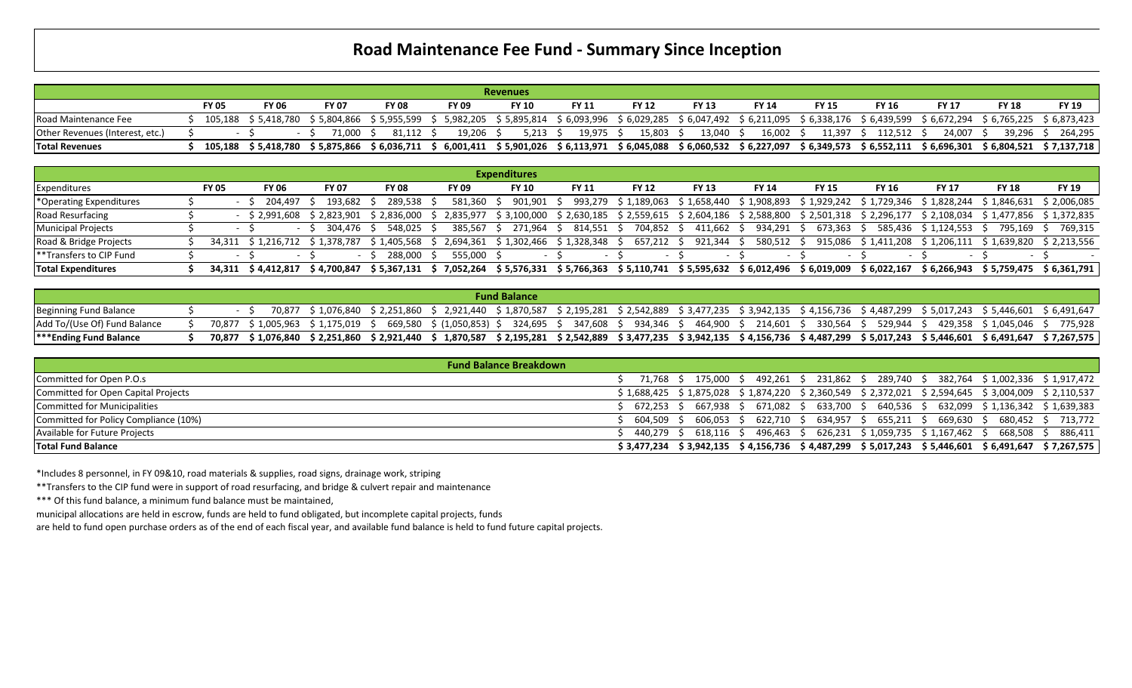## **Road Maintenance Fee Fund - Summary Since Inception**

|                                 |              |              |              |              |                                                                                                                                                                                 | <b>Revenues</b> |              |                  |                                                                                                             |              |              |              |              |              |                   |
|---------------------------------|--------------|--------------|--------------|--------------|---------------------------------------------------------------------------------------------------------------------------------------------------------------------------------|-----------------|--------------|------------------|-------------------------------------------------------------------------------------------------------------|--------------|--------------|--------------|--------------|--------------|-------------------|
|                                 | <b>FY 05</b> | <b>FY 06</b> | <b>FY 07</b> | <b>FY 08</b> | <b>FY 09</b>                                                                                                                                                                    | <b>FY 10</b>    | <b>FY 11</b> | <b>FY 12</b>     | <b>FY 13</b>                                                                                                | <b>FY 14</b> | <b>FY 15</b> | <b>FY 16</b> | <b>FY 17</b> | <b>FY 18</b> | <b>FY 19</b>      |
| Road Maintenance Fee            |              |              |              |              | 105,188 \$5,418,780 \$5,804,866 \$5,955,599 \$5,982,205 \$5,895,814                                                                                                             |                 |              |                  | \$6,093,996 \$6,029,285 \$6,047,492 \$6,211,095 \$6,338,176 \$6,439,599 \$6,672,294 \$6,765,225 \$6,873,423 |              |              |              |              |              |                   |
| Other Revenues (Interest, etc.) |              |              | 71.000 S     | 81.112       | $19.206$ S                                                                                                                                                                      | $5.213 \quad S$ | 19,975 \$    | $15,803 \quad $$ | 13.040 \$                                                                                                   | 16.002 S     | 11.397       | 112.512 S    | 24.007 S     |              | 39.296 \$ 264.295 |
| <b>Total Revenues</b>           |              |              |              |              | 105,188 \$5,418,780 \$5,875,866 \$6,036,711 \$6,001,411 \$5,901,026 \$6,113,971 \$6,045,088 \$6,060,532 \$6,227,097 \$6,349,573 \$6,552,111 \$6,696,301 \$6,804,521 \$7,137,718 |                 |              |                  |                                                                                                             |              |              |              |              |              |                   |

|                                         |              |                    |                                                         |              |                                                                                | <b>Expenditures</b>                                                   |              |              |                         |              |              |                                                                                        |                        |                         |                                     |
|-----------------------------------------|--------------|--------------------|---------------------------------------------------------|--------------|--------------------------------------------------------------------------------|-----------------------------------------------------------------------|--------------|--------------|-------------------------|--------------|--------------|----------------------------------------------------------------------------------------|------------------------|-------------------------|-------------------------------------|
| <b>Expenditures</b>                     | <b>FY 05</b> | <b>FY 06</b>       | <b>FY 07</b>                                            | <b>FY 08</b> | <b>FY 09</b>                                                                   | <b>FY 10</b>                                                          | <b>FY 11</b> | <b>FY 12</b> | <b>FY 13</b>            | <b>FY 14</b> | <b>FY 15</b> | <b>FY 16</b>                                                                           | <b>FY 17</b>           | <b>FY 18</b>            | <b>FY 19</b>                        |
| *Operating Expenditures                 | $\sim$       | 204.497            | 193.682 \$                                              | 289.538      | 581.360                                                                        | $901,901$ \$                                                          | 993,279      |              | \$1,189,063 \$1,658,440 |              |              | \$1,908,893    \$1,929,242    \$1,729,346    \$1,828,244    \$1,846,631    \$2,006,085 |                        |                         |                                     |
| <b>Road Resurfacing</b>                 |              |                    | $\frac{1}{2}$ \$ 2.991.608 \$ 2.823.901 \$ 2.836.000 \$ |              |                                                                                | 2,835,977 \$3,100,000 \$2,630,185 \$2,559,615 \$2,604,186 \$2,588,800 |              |              |                         |              |              | \$ 2,501,318 \$ 2,296,177 \$ 2,108,034 \$ 1,477,856 \$ 1,372,835                       |                        |                         |                                     |
| <b>Municipal Projects</b>               |              |                    | 304.476 S                                               | 548.025      | 385.567                                                                        | 271.964 \$                                                            | 814,551 \$   | 704,852 \$   | 411.662                 | 934,291 \$   | 673.363 \$   |                                                                                        | 585,436 \$1,124,553 \$ | 795.169 \$              | 769.315                             |
| Road & Bridge Projects                  |              |                    |                                                         |              | 34,311 \$1,216,712 \$1,378,787 \$1,405,568 \$2,694,361 \$1,302,466 \$1,328,348 |                                                                       |              | 657,212 \$   | 921,344                 | 580,512 \$   |              | 915,086 \$1,411,208 \$1,206,111                                                        |                        | \$1.639.820 \$2.213.556 |                                     |
| <b>EXAMPLE 14</b> Transfers to CIP Fund |              |                    |                                                         | 288.000 S    | 555,000 \$                                                                     |                                                                       | $-$          | $-$          |                         |              |              | $\sim$                                                                                 |                        |                         |                                     |
| <b>Total Expenditures</b>               |              | 34.311 \$4.412.817 | \$ 4.700.847                                            | \$ 5.367.131 |                                                                                | 7,052,264 \$ 5,576,331                                                |              |              |                         |              |              |                                                                                        |                        |                         | \$6,266,943 \$5,759,475 \$6,361,791 |

|                               |  |  |                                                                                                                                                                                | <b>Fund Balance</b> |  |  |  |  |  |
|-------------------------------|--|--|--------------------------------------------------------------------------------------------------------------------------------------------------------------------------------|---------------------|--|--|--|--|--|
| <b>Beginning Fund Balance</b> |  |  | 70,877 \$1,076,840 \$2,251,860 \$2,921,440 \$1,870,587 \$2,195,281 \$2,542,889 \$3,477,235 \$3,942,135 \$4,156,736 \$4,487,299 \$5,017,243 \$5,446,601 \$6,491,647             |                     |  |  |  |  |  |
| Add To/(Use Of) Fund Balance  |  |  | 70,877 \$1,005,963 \$1,175,019 \$ 669,580 \$(1,050,853) \$ 324,695 \$ 347,608 \$ 934,346 \$ 464,900 \$ 214,601 \$ 330,564 \$ 529,944 \$ 429,358 \$1,045,046 \$ 775,928         |                     |  |  |  |  |  |
| <b>***Ending Fund Balance</b> |  |  | 70,877 \$1,076,840 \$2,251,860 \$2,921,440 \$1,870,587 \$2,195,281 \$2,542,889 \$3,477,235 \$3,942,135 \$4,156,736 \$4,487,299 \$5,017,243 \$5,446,601 \$6,491,647 \$7,267,575 |                     |  |  |  |  |  |

| <b>Fund Balance Breakdown</b>         |  |  |  |                                                                                                         |                                                                                                 |
|---------------------------------------|--|--|--|---------------------------------------------------------------------------------------------------------|-------------------------------------------------------------------------------------------------|
| Committed for Open P.O.s              |  |  |  |                                                                                                         | 71,768 \$ 175,000 \$ 492,261 \$ 231,862 \$ 289,740 \$ 382,764 \$1,002,336 \$1,917,472           |
| Committed for Open Capital Projects   |  |  |  | $$1,688,425$ $$1,875,028$ $$1,874,220$ $$2,360,549$ $$2,372,021$ $$2,594,645$ $$3,004,009$ $$2,110,537$ |                                                                                                 |
| Committed for Municipalities          |  |  |  |                                                                                                         | ; 672,253 \$ 667,938 \$ 671,082 \$ 633,700 \$ 640,536 \$ 632,099 \$ 1,136,342 \$ 1,639,383      |
| Committed for Policy Compliance (10%) |  |  |  |                                                                                                         | ; 604,509 \$ 606,053 \$ 622,710 \$ 634,957 \$ 655,211 \$ 669,630 \$ 680,452 \$ 713,772          |
| Available for Future Projects         |  |  |  | 440,279 \$ 618,116 \$ 496,463 \$ 626,231 \$ 1,059,735 \$ 1,167,462 \$ 668,508 \$ 886,411                |                                                                                                 |
| <b>Total Fund Balance</b>             |  |  |  |                                                                                                         | \$3,477,234 \$3,942,135 \$4,156,736 \$4,487,299 \$5,017,243 \$5,446,601 \$6,491,647 \$7,267,575 |

\*Includes 8 personnel, in FY 09&10, road materials & supplies, road signs, drainage work, striping

\*\*Transfers to the CIP fund were in support of road resurfacing, and bridge & culvert repair and maintenance

\*\*\* Of this fund balance, a minimum fund balance must be maintained,

municipal allocations are held in escrow, funds are held to fund obligated, but incomplete capital projects, funds

are held to fund open purchase orders as of the end of each fiscal year, and available fund balance is held to fund future capital projects.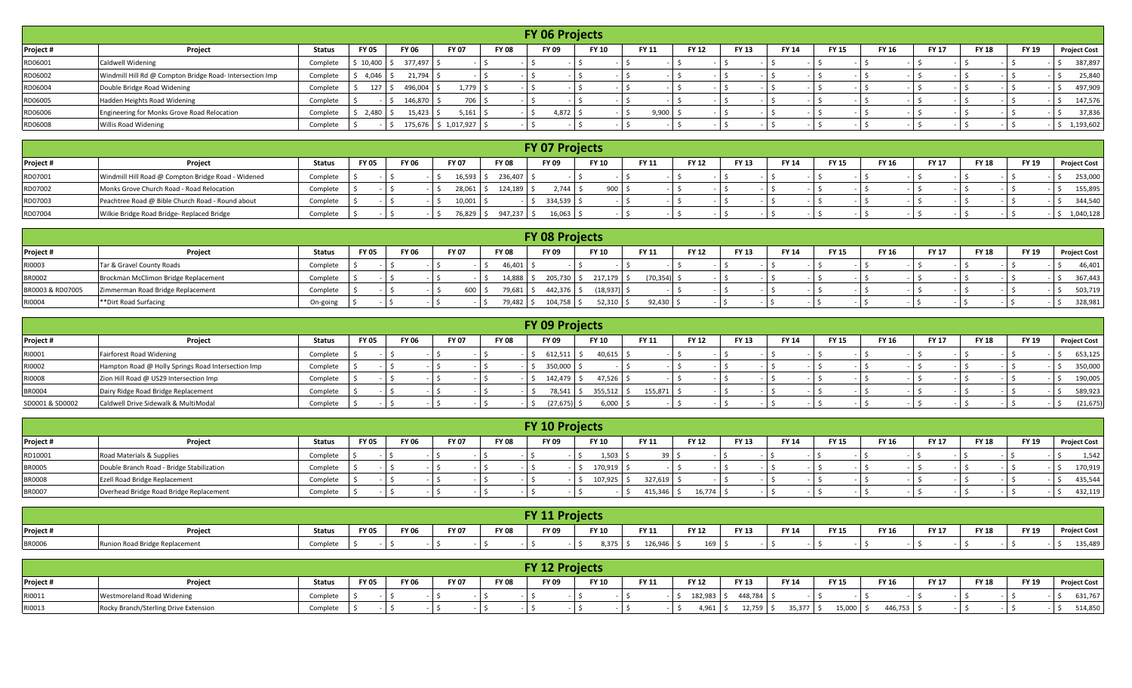|           |                                                          |               |              |              |                         |              |              | <b>FY 06 Projects</b> |       |              |              |              |              |              |              |              |              |                     |
|-----------|----------------------------------------------------------|---------------|--------------|--------------|-------------------------|--------------|--------------|-----------------------|-------|--------------|--------------|--------------|--------------|--------------|--------------|--------------|--------------|---------------------|
| Project # | Project                                                  | <b>Status</b> | <b>FY 05</b> | <b>FY 06</b> | <b>FY 07</b>            | <b>FY 08</b> | <b>FY 09</b> | <b>FY 10</b>          | FY 11 | <b>FY 12</b> | <b>FY 13</b> | <b>FY 14</b> | <b>FY 15</b> | <b>FY 16</b> | <b>FY 17</b> | <b>FY 18</b> | <b>FY 19</b> | <b>Project Cost</b> |
| RD06001   | <b>Caldwell Widening</b>                                 | Complete      | \$10,400     | 377,497 \$   |                         |              |              |                       |       |              |              |              |              |              |              |              |              | 387,897             |
| RD06002   | Windmill Hill Rd @ Compton Bridge Road- Intersection Imp | Complete      | 4,046        | $21,794$ \$  |                         |              |              |                       |       |              |              |              |              |              |              |              |              | 25,840              |
| RD06004   | Double Bridge Road Widening                              | Complete      | 127          | 496,004 \$   | 1,779                   |              |              |                       |       |              |              |              |              |              |              |              |              | 497,909             |
| RD06005   | Hadden Heights Road Widening                             | Complete      |              | 146,870 \$   | 706 \$                  |              |              |                       |       |              |              |              |              |              |              |              |              | 147,576             |
| RD06006   | Engineering for Monks Grove Road Relocation              | Complete      | 2,480        | $15,423$ \$  | $5,161$ \$              |              | 4,872        |                       | 9,900 |              |              |              |              |              |              |              |              | 37,836              |
| RD06008   | Willis Road Widening                                     | Complete      |              |              | 175,676 \$ 1,017,927 \$ |              |              |                       |       |              |              |              |              |              |              |              |              | 1,193,602           |

|           |                                                    |          |              |       |              |              | <b>FY 07 Projects</b> |              |              |              |              |              |              |       |              |              |              |                     |
|-----------|----------------------------------------------------|----------|--------------|-------|--------------|--------------|-----------------------|--------------|--------------|--------------|--------------|--------------|--------------|-------|--------------|--------------|--------------|---------------------|
| Project # | Project                                            | Status   | <b>FY 05</b> | FY 06 | <b>FY 07</b> | <b>FY 08</b> | FY 09                 | <b>FY 10</b> | <b>FY 11</b> | <b>FY 12</b> | <b>FY 13</b> | <b>FY 14</b> | <b>FY 15</b> | FY 16 | <b>FY 17</b> | <b>FY 18</b> | <b>FY 19</b> | <b>Project Cost</b> |
| RD07001   | Windmill Hill Road @ Compton Bridge Road - Widened | Complete |              |       | 16,593       | 236,407      |                       |              |              |              |              |              |              |       |              |              |              | 253,000             |
| RD07002   | Monks Grove Church Road - Road Relocation          | Complete |              |       | 28,061       | 124,189      | 2,744                 | 900          |              |              |              |              |              |       |              |              |              | 155,895             |
| RD07003   | Peachtree Road @ Bible Church Road - Round about   | Complete |              |       | 10,001       |              | 334,539               |              |              |              |              |              |              |       |              |              |              | 344,540             |
| RD07004   | Wilkie Bridge Road Bridge- Replaced Bridge         | Complete |              |       | 76,829       | 947,237      | 16,063                |              |              |              |              |              |              |       |              |              |              | 1,040,128           |

|                  |                                      |               |              |              |       |               | <b>FY 08 Projects</b> |              |              |              |       |              |              |              |              |              |              |                     |
|------------------|--------------------------------------|---------------|--------------|--------------|-------|---------------|-----------------------|--------------|--------------|--------------|-------|--------------|--------------|--------------|--------------|--------------|--------------|---------------------|
| Project #        | Project                              | <b>Status</b> | <b>FY 05</b> | <b>FY 06</b> | FY 07 | <b>FY 08</b>  | FY 09                 | <b>FY 10</b> | <b>FY 11</b> | <b>FY 12</b> | FY 13 | <b>FY 14</b> | <b>FY 15</b> | <b>FY 16</b> | <b>FY 17</b> | <b>FY 18</b> | <b>FY 19</b> | <b>Project Cost</b> |
| RI0003           | Tar & Gravel County Roads            | Complete      |              |              |       | 46,401        |                       |              |              |              |       |              |              |              |              |              |              | 46,401              |
| <b>BR0002</b>    | Brockman McClimon Bridge Replacement | Complete      |              |              |       | 14,888        | 205,730               | 217,179      | (70, 354)    |              |       |              |              |              |              |              |              | 367,443             |
| BR0003 & RD07005 | Zimmerman Road Bridge Replacement    | Complete      |              |              |       | 600<br>79,681 | 442,376 L             | (18, 937)    |              |              |       |              |              |              |              |              |              | 503,719             |
| RI0004           | **Dirt Road Surfacing                | On-going      |              |              |       | 79,482        | 104,758               | 52,310       | 92,430       |              |       |              |              |              |              |              |              | 328,981             |

|                 |                                                    |               |              |       |                       | <b>FY 09 Projects</b> |             |         |              |              |              |              |              |              |              |              |                     |
|-----------------|----------------------------------------------------|---------------|--------------|-------|-----------------------|-----------------------|-------------|---------|--------------|--------------|--------------|--------------|--------------|--------------|--------------|--------------|---------------------|
| Project #       | Project                                            | <b>Status</b> | <b>FY 05</b> | FY 06 | FY 07<br><b>FY 08</b> | <b>FY 09</b>          | FY 10       | FY 11   | <b>FY 12</b> | <b>FY 13</b> | <b>FY 14</b> | <b>FY 15</b> | <b>FY 16</b> | <b>FY 17</b> | <b>FY 18</b> | <b>FY 19</b> | <b>Project Cost</b> |
| RI0001          | Fairforest Road Widening                           | Complete      |              |       |                       | 612,511               | $40,615$ \$ |         |              |              |              |              |              |              |              |              | 653,125             |
| RI0002          | Hampton Road @ Holly Springs Road Intersection Imp | Complete      |              |       |                       | 350,000               |             |         |              |              |              |              |              |              |              |              | 350,000             |
| RI0008          | Zion Hill Road @ US29 Intersection Imp             | Complete      |              |       |                       | 142,479               | 47,526      |         |              |              |              |              |              |              |              |              | 190,005             |
| <b>BR0004</b>   | Dairy Ridge Road Bridge Replacement                | Complete      |              |       |                       | 78,541                | 355,512     | 155,871 |              |              |              |              |              |              |              |              | 589,923             |
| SD0001 & SD0002 | Caldwell Drive Sidewalk & MultiModal               | Complete      |              |       |                       | (27, 675)             | 6,000       |         |              |              |              |              |              |              |              |              | (21, 675)           |

|               |                                           |               |              |              |              |              | <b>FY 10 Projects</b> |              |              |              |                              |              |              |              |       |              |                     |
|---------------|-------------------------------------------|---------------|--------------|--------------|--------------|--------------|-----------------------|--------------|--------------|--------------|------------------------------|--------------|--------------|--------------|-------|--------------|---------------------|
| Project #     | Project                                   | <b>Status</b> | <b>FY 05</b> | <b>FY 06</b> | <b>FY 07</b> | <b>FY 08</b> | <b>FY 09</b>          | <b>FY 10</b> | <b>FY 11</b> | <b>FY 12</b> | <b>FY 13</b><br><b>FY 14</b> | <b>FY 15</b> | <b>FY 16</b> | <b>FY 17</b> | FY 18 | <b>FY 19</b> | <b>Project Cost</b> |
| RD10001       | Road Materials & Supplies                 | Complete      |              |              |              |              |                       | 1,503        | 20           |              |                              |              |              |              |       |              | 1,542               |
| <b>BR0005</b> | Double Branch Road - Bridge Stabilization | Complete      |              |              |              |              |                       | 170,919      |              |              |                              |              |              |              |       |              | 170,919             |
| <b>BR0008</b> | Ezell Road Bridge Replacement             | Complete      |              |              |              |              |                       | 107,925      | 327,619      |              |                              |              |              |              |       |              | 435,544             |
| <b>BR0007</b> | Overhead Bridge Road Bridge Replacement   | Complete      |              |              |              |              |                       |              | 415,346 \$   | 16,774       |                              |              |              |              |       |              | 432,119             |

|               |                            |               |       |              |              |              | <b>FY 11 Projects</b> |              |         |              |              |              |              |              |              |              |              |                     |
|---------------|----------------------------|---------------|-------|--------------|--------------|--------------|-----------------------|--------------|---------|--------------|--------------|--------------|--------------|--------------|--------------|--------------|--------------|---------------------|
| Project #     | Project                    | <b>Status</b> | FY 05 | <b>FY 06</b> | <b>FY 07</b> | <b>FY 08</b> | <b>FY 09</b>          | <b>FY 10</b> | FY 11   | <b>FY 12</b> | <b>FY 13</b> | <b>FY 14</b> | <b>FY 15</b> | <b>FY 16</b> | <b>FY 17</b> | <b>FY 18</b> | <b>FY 19</b> | <b>Project Cost</b> |
| <b>BR0006</b> | on Road Bridge Replacement | Complete      |       |              |              |              |                       | 8,375        | 126,946 | 169          |              |              |              |              |              |              |              | 135,489             |

|           |                                       |               |              |       |              |              | <b>FY 12 Projects</b> |              |              |                 |              |              |              |              |              |              |              |                     |
|-----------|---------------------------------------|---------------|--------------|-------|--------------|--------------|-----------------------|--------------|--------------|-----------------|--------------|--------------|--------------|--------------|--------------|--------------|--------------|---------------------|
| Project # | Project                               | <b>Status</b> | <b>FY 05</b> | FY 06 | <b>FY 07</b> | <b>FY 08</b> | FY 09                 | <b>FY 10</b> | <b>FY 11</b> | <b>FY 12</b>    | <b>FY 13</b> | <b>FY 14</b> | <b>FY 15</b> | <b>FY 16</b> | <b>FY 17</b> | <b>FY 18</b> | <b>FY 19</b> | <b>Project Cost</b> |
| RI0011    | Westmoreland Road Widening            | Complete      |              |       |              |              |                       |              |              | 182,983         | 448,784      |              |              |              |              |              |              | 631,767             |
| RI0013    | Rocky Branch/Sterling Drive Extension | Complete      |              |       |              |              |                       |              |              | 10 <sup>2</sup> | 12,759       | 35,377       | 15,000       | 446,753      |              |              |              | 514,850             |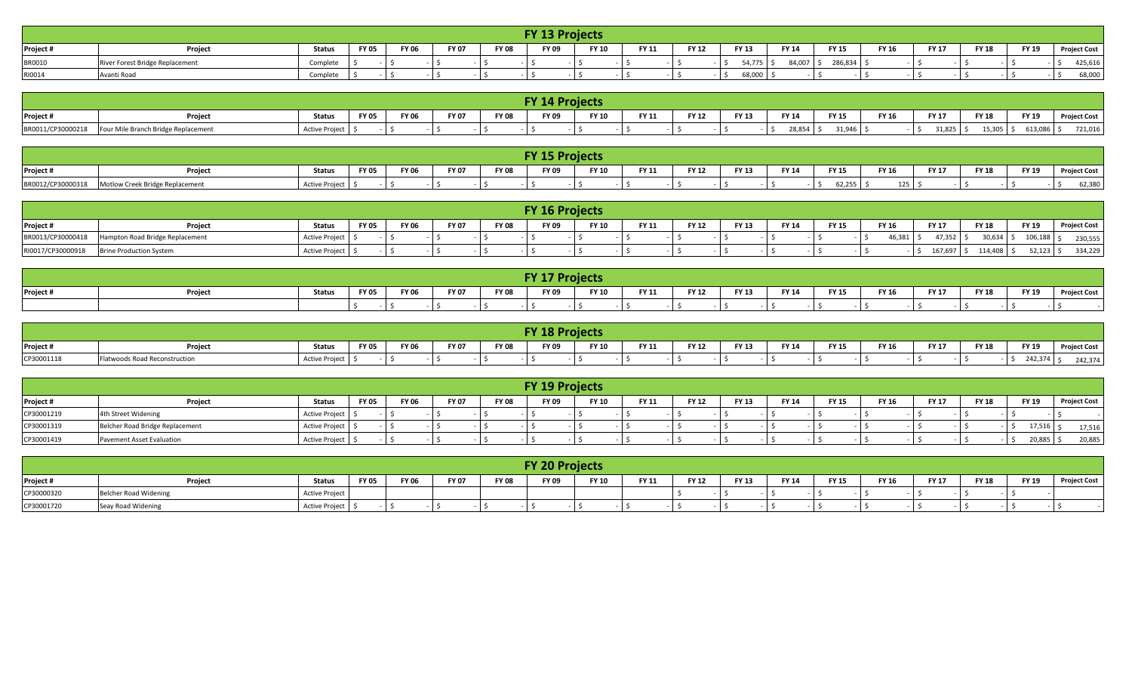|               |                                 |               |       |              |              |              | <b>FY 13 Projects</b> |              |              |              |              |              |              |              |              |              |              |                     |
|---------------|---------------------------------|---------------|-------|--------------|--------------|--------------|-----------------------|--------------|--------------|--------------|--------------|--------------|--------------|--------------|--------------|--------------|--------------|---------------------|
| Project #     | Project                         | <b>Status</b> | FY 05 | <b>FY 06</b> | <b>FY 07</b> | <b>FY 08</b> | <b>FY 09</b>          | <b>FY 10</b> | <b>FY 11</b> | <b>FY 12</b> | <b>FY 13</b> | <b>FY 14</b> | <b>FY 15</b> | <b>FY 16</b> | <b>FY 17</b> | <b>FY 18</b> | <b>FY 19</b> | <b>Project Cost</b> |
| <b>BR0010</b> | River Forest Bridge Replacement | Complete      |       |              |              |              |                       |              |              |              | 54,775.      | 84,007       | 286,834      |              |              |              |              | 425,616             |
| RI0014        | Avanti Road                     | Complete      |       |              |              |              |                       |              |              |              | 68,000       |              |              |              |              |              |              | 68,000              |

|                   |                                     |                |              |              |              |              | <b>FY 14 Projects</b> |              |       |              |              |              |               |              |              |              |              |                     |
|-------------------|-------------------------------------|----------------|--------------|--------------|--------------|--------------|-----------------------|--------------|-------|--------------|--------------|--------------|---------------|--------------|--------------|--------------|--------------|---------------------|
| Project #         | Projec.                             | Status         | <b>FY 05</b> | <b>FY 06</b> | <b>FY 07</b> | <b>FY 08</b> | <b>FY 09</b>          | <b>FY 10</b> | FY 11 | <b>FY 12</b> | <b>FY 13</b> | <b>FY 14</b> | <b>FY 15</b>  | <b>FY 16</b> | <b>FY 17</b> | <b>FY 18</b> | <b>FY 19</b> | <b>Project Cost</b> |
| BR0011/CP30000218 | Four Mile Branch Bridge Replacement | Active Project |              |              |              |              |                       |              |       |              |              | 28,854       | <b>21 QAG</b> |              | 31,825       | 15,305       | 613,086 .    | 721,016             |

|                   | <b>FY 15 Projects</b>                             |                |              |              |              |              |       |              |            |              |       |              |              |              |       |              |              |              |
|-------------------|---------------------------------------------------|----------------|--------------|--------------|--------------|--------------|-------|--------------|------------|--------------|-------|--------------|--------------|--------------|-------|--------------|--------------|--------------|
| Project #         | <b>Projec</b>                                     | <b>Status</b>  | <b>FY 05</b> | <b>FY 06</b> | <b>FY 07</b> | <b>FY 08</b> | FY 09 | <b>FY 10</b> | EV 11<br>. | <b>FY 12</b> | FY 13 | <b>FY 14</b> | <b>FY 15</b> | <b>FY 16</b> | FY 17 | <b>FY 18</b> | <b>FY 19</b> | Project Cost |
| BR0012/CP30000318 | <b>Motlow Creek Bridge Replacement</b><br>، ۱– ۱۰ | Active Project |              |              |              |              |       |              |            |              |       |              | 62,255       | 125          |       |              |              | 62,380       |

|                   |                                 |                   |              |              |              |              | <b>FY 16 Projects</b> |              |              |              |              |              |              |              |              |              |              |                     |
|-------------------|---------------------------------|-------------------|--------------|--------------|--------------|--------------|-----------------------|--------------|--------------|--------------|--------------|--------------|--------------|--------------|--------------|--------------|--------------|---------------------|
| Project #         | Project                         | <b>Status</b>     | <b>FY 05</b> | <b>FY 06</b> | <b>FY 07</b> | <b>FY 08</b> | FY 09                 | <b>FY 10</b> | <b>FY 11</b> | <b>FY 12</b> | <b>FY 13</b> | <b>FY 14</b> | <b>FY 15</b> | <b>FY 16</b> | <b>FY 17</b> | <b>FY 18</b> | <b>FY 19</b> | <b>Project Cost</b> |
| BR0013/CP30000418 | Hampton Road Bridge Replacement | Active Project \$ |              |              |              |              |                       |              |              |              |              |              |              | 46,381       | $17,352$ ,   | 30,634       | $106,188$ s  | 230,555             |
| RI0017/CP30000918 | <b>Brine Production System</b>  | Active Project \$ |              |              |              |              |                       |              |              |              |              |              |              |              | 167,697      | 114,408      | $52,123$ ,   | 334,229             |

|           |                                                                                                                                                                                                                                                            |  |  |  |  |  | <b>FY 17 Projects</b> |  |  |  |  |  |  |  |  |                     |  |
|-----------|------------------------------------------------------------------------------------------------------------------------------------------------------------------------------------------------------------------------------------------------------------|--|--|--|--|--|-----------------------|--|--|--|--|--|--|--|--|---------------------|--|
| Project # | <b>FY 18</b><br><b>FY 19</b><br><b>FY 09</b><br><b>FY 12</b><br><b>Status</b><br><b>FY 07</b><br><b>FY 15</b><br><b>FY 06</b><br><b>FY 08</b><br><b>FY 10</b><br><b>FY 11</b><br>FY 13<br>FY 05<br><b>FY 14</b><br><b>FY 17</b><br><b>FY 16</b><br>Projec. |  |  |  |  |  |                       |  |  |  |  |  |  |  |  | <b>Project Cost</b> |  |
|           |                                                                                                                                                                                                                                                            |  |  |  |  |  |                       |  |  |  |  |  |  |  |  |                     |  |

|            |                               |                   |              |              |              |              | <b>FY 18 Projects</b> |              |              |              |              |              |              |              |              |              |              |                     |
|------------|-------------------------------|-------------------|--------------|--------------|--------------|--------------|-----------------------|--------------|--------------|--------------|--------------|--------------|--------------|--------------|--------------|--------------|--------------|---------------------|
| Project #  | Project                       | <b>Status</b>     | <b>FY 05</b> | <b>FY 06</b> | <b>FY 07</b> | <b>FY 08</b> | FY 09                 | <b>FY 10</b> | <b>FY 11</b> | <b>FY 12</b> | <b>FY 13</b> | <b>FY 14</b> | <b>FY 15</b> | <b>FY 16</b> | <b>FY 17</b> | <b>FY 18</b> | <b>FY 19</b> | <b>Project Cost</b> |
| CP30001118 | Flatwoods Road Reconstruction | Active Project \$ |              |              |              |              |                       |              |              |              |              |              |              |              |              | $-13$        | 242,374      | 242,374             |

|            |                                 |                   |              |              |              |              | <b>FY 19 Projects</b> |              |              |              |              |              |              |              |              |              |              |                     |
|------------|---------------------------------|-------------------|--------------|--------------|--------------|--------------|-----------------------|--------------|--------------|--------------|--------------|--------------|--------------|--------------|--------------|--------------|--------------|---------------------|
| Project #  | Project                         | <b>Status</b>     | <b>FY 05</b> | <b>FY 06</b> | <b>FY 07</b> | <b>FY 08</b> | <b>FY 09</b>          | <b>FY 10</b> | <b>FY 11</b> | <b>FY 12</b> | <b>FY 13</b> | <b>FY 14</b> | <b>FY 15</b> | <b>FY 16</b> | <b>FY 17</b> | <b>FY 18</b> | <b>FY 19</b> | <b>Project Cost</b> |
| CP30001219 | 4th Street Widening             | Active Project    |              |              |              |              |                       |              |              |              |              |              |              |              |              |              |              |                     |
| CP30001319 | Belcher Road Bridge Replacement | Active Project \$ |              |              |              |              |                       |              |              |              |              |              |              |              |              |              | 17,516       | 17,516              |
| CP30001419 | Pavement Asset Evaluation       | Active Project >  |              |              |              |              |                       |              |              |              |              |              |              |              |              |              | 20,885       | 20,885              |

|            |                       |                       |              |              |              |              | <b>FY 20 Projects</b> |              |              |       |              |              |       |       |              |              |       |                     |
|------------|-----------------------|-----------------------|--------------|--------------|--------------|--------------|-----------------------|--------------|--------------|-------|--------------|--------------|-------|-------|--------------|--------------|-------|---------------------|
| Project #  | Projec                | <b>Status</b>         | <b>FY 05</b> | <b>FY 06</b> | <b>FY 07</b> | <b>FY 08</b> | <b>FY 09</b>          | <b>FY 10</b> | <b>FY 11</b> | FY 12 | <b>FY 13</b> | <b>FY 14</b> | FY 15 | FY 16 | <b>FY 17</b> | <b>FY 18</b> | FY 19 | <b>Project Cost</b> |
| CP30000320 | Belcher Road Widening | <b>Active Project</b> |              |              |              |              |                       |              |              |       |              |              |       |       |              |              |       |                     |
| CP30001720 | Seay Road Widening    | Active Project        |              |              |              |              |                       |              |              |       |              |              |       |       |              |              |       |                     |